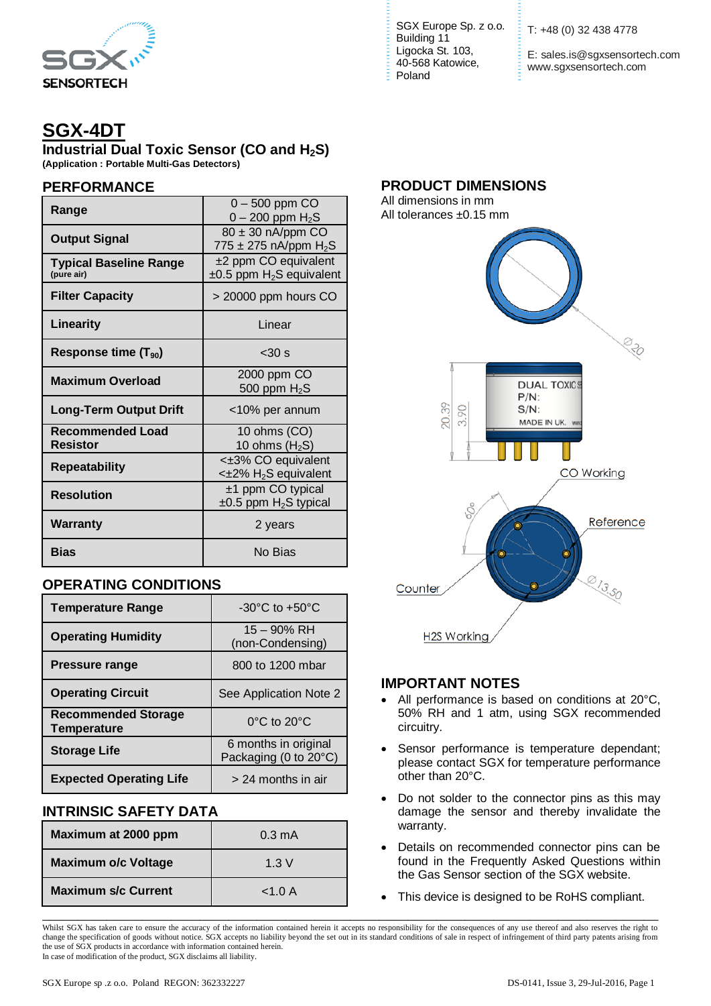

# **SGX-4DT**

**Industrial Dual Toxic Sensor (CO and H2S) (Application : Portable Multi-Gas Detectors)**

#### **PERFORMANCE**

| Range                                       | $0 - 500$ ppm $CO$<br>$0 - 200$ ppm $H_2S$                          |  |  |
|---------------------------------------------|---------------------------------------------------------------------|--|--|
| <b>Output Signal</b>                        | $80 \pm 30$ nA/ppm CO<br>775 ± 275 nA/ppm $H_2S$                    |  |  |
| <b>Typical Baseline Range</b><br>(pure air) | $±2$ ppm CO equivalent<br>$\pm 0.5$ ppm H <sub>2</sub> S equivalent |  |  |
| <b>Filter Capacity</b>                      | > 20000 ppm hours CO                                                |  |  |
| <b>Linearity</b>                            | Linear                                                              |  |  |
| Response time $(T_{90})$                    | $< 30 \text{ s}$                                                    |  |  |
| <b>Maximum Overload</b>                     | 2000 ppm CO<br>500 ppm $H_2S$                                       |  |  |
| <b>Long-Term Output Drift</b>               | <10% per annum                                                      |  |  |
| <b>Recommended Load</b><br><b>Resistor</b>  | 10 ohms (CO)<br>10 ohms $(H2S)$                                     |  |  |
| <b>Repeatability</b>                        | <±3% CO equivalent<br><±2% H <sub>2</sub> S equivalent              |  |  |
| <b>Resolution</b>                           | $±1$ ppm CO typical<br>$\pm 0.5$ ppm H <sub>2</sub> S typical       |  |  |
| <b>Warranty</b>                             | 2 years                                                             |  |  |
| Bias                                        | No Bias                                                             |  |  |

## **OPERATING CONDITIONS**

| <b>Temperature Range</b>                         | $-30^{\circ}$ C to $+50^{\circ}$ C            |  |
|--------------------------------------------------|-----------------------------------------------|--|
| <b>Operating Humidity</b>                        | $15 - 90\%$ RH<br>(non-Condensing)            |  |
| <b>Pressure range</b>                            | 800 to 1200 mbar                              |  |
| <b>Operating Circuit</b>                         | See Application Note 2                        |  |
| <b>Recommended Storage</b><br><b>Temperature</b> | 0°C to 20°C                                   |  |
| <b>Storage Life</b>                              | 6 months in original<br>Packaging (0 to 20°C) |  |
| <b>Expected Operating Life</b>                   | $> 24$ months in air                          |  |

## **INTRINSIC SAFETY DATA**

| Maximum at 2000 ppm        | $0.3 \text{ mA}$ |  |
|----------------------------|------------------|--|
| <b>Maximum o/c Voltage</b> | 1.3V             |  |
| <b>Maximum s/c Current</b> | < 1.0 A          |  |

SGX Europe Sp. z o.o. Building 11 Ligocka St. 103, 40-568 Katowice, Poland

T: +48 (0) 32 438 4778

E: sales.is@sgxsensortech.com www.sgxsensortech.com

#### **PRODUCT DIMENSIONS**

All dimensions in mm All tolerances ±0.15 mm



#### **IMPORTANT NOTES**

- All performance is based on conditions at 20°C, 50% RH and 1 atm, using SGX recommended circuitry.
- Sensor performance is temperature dependant; please contact SGX for temperature performance other than 20°C.
- Do not solder to the connector pins as this may damage the sensor and thereby invalidate the warranty.
- Details on recommended connector pins can be found in the Frequently Asked Questions within the Gas Sensor section of the SGX website.
- This device is designed to be RoHS compliant.

\_\_\_\_\_\_\_\_\_\_\_\_\_\_\_\_\_\_\_\_\_\_\_\_\_\_\_\_\_\_\_\_\_\_\_\_\_\_\_\_\_\_\_\_\_\_\_\_\_\_\_\_\_\_\_\_\_\_\_\_\_\_\_\_\_\_\_\_\_\_\_\_\_\_\_\_\_\_\_\_\_\_\_\_\_\_ Whilst SGX has taken care to ensure the accuracy of the information contained herein it accepts no responsibility for the consequences of any use thereof and also reserves the right to change the specification of goods without notice. SGX accepts no liability beyond the set out in its standard conditions of sale in respect of infringement of third party patents arising from the use of SGX products in accordance with information contained herein. In case of modification of the product, SGX disclaims all liability.

SGX Europe sp .z o.o. Poland REGON: 362332227 DS-0141, Issue 3, 29-Jul-2016, Page 1